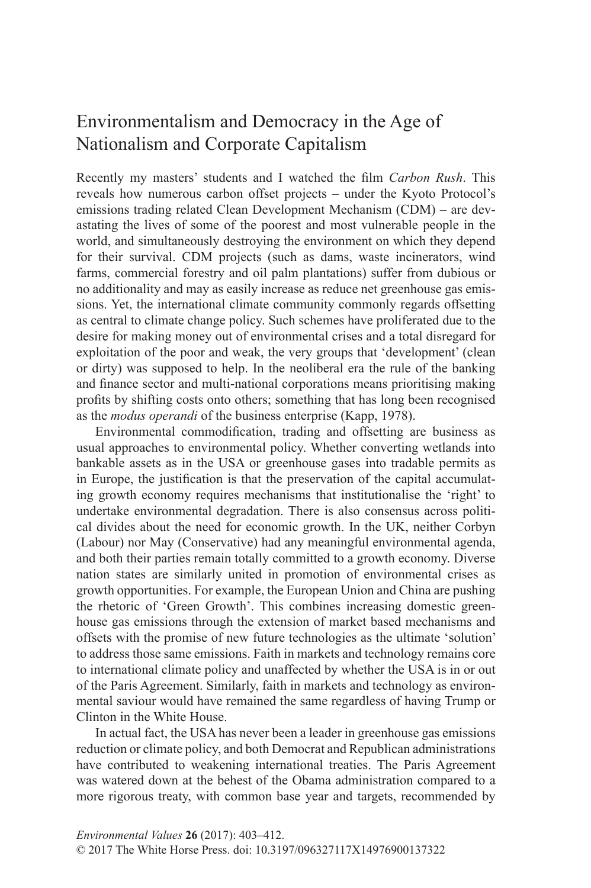# Environmentalism and Democracy in the Age of Nationalism and Corporate Capitalism

Recently my masters' students and I watched the film *Carbon Rush*. This reveals how numerous carbon offset projects – under the Kyoto Protocol's emissions trading related Clean Development Mechanism (CDM) – are devastating the lives of some of the poorest and most vulnerable people in the world, and simultaneously destroying the environment on which they depend for their survival. CDM projects (such as dams, waste incinerators, wind farms, commercial forestry and oil palm plantations) suffer from dubious or no additionality and may as easily increase as reduce net greenhouse gas emissions. Yet, the international climate community commonly regards offsetting as central to climate change policy. Such schemes have proliferated due to the desire for making money out of environmental crises and a total disregard for exploitation of the poor and weak, the very groups that 'development' (clean or dirty) was supposed to help. In the neoliberal era the rule of the banking and finance sector and multi-national corporations means prioritising making profits by shifting costs onto others; something that has long been recognised as the *modus operandi* of the business enterprise (Kapp, 1978).

Environmental commodification, trading and offsetting are business as usual approaches to environmental policy. Whether converting wetlands into bankable assets as in the USA or greenhouse gases into tradable permits as in Europe, the justification is that the preservation of the capital accumulating growth economy requires mechanisms that institutionalise the 'right' to undertake environmental degradation. There is also consensus across political divides about the need for economic growth. In the UK, neither Corbyn (Labour) nor May (Conservative) had any meaningful environmental agenda, and both their parties remain totally committed to a growth economy. Diverse nation states are similarly united in promotion of environmental crises as growth opportunities. For example, the European Union and China are pushing the rhetoric of 'Green Growth'. This combines increasing domestic greenhouse gas emissions through the extension of market based mechanisms and offsets with the promise of new future technologies as the ultimate 'solution' to address those same emissions. Faith in markets and technology remains core to international climate policy and unaffected by whether the USA is in or out of the Paris Agreement. Similarly, faith in markets and technology as environmental saviour would have remained the same regardless of having Trump or Clinton in the White House.

In actual fact, the USA has never been a leader in greenhouse gas emissions reduction or climate policy, and both Democrat and Republican administrations have contributed to weakening international treaties. The Paris Agreement was watered down at the behest of the Obama administration compared to a more rigorous treaty, with common base year and targets, recommended by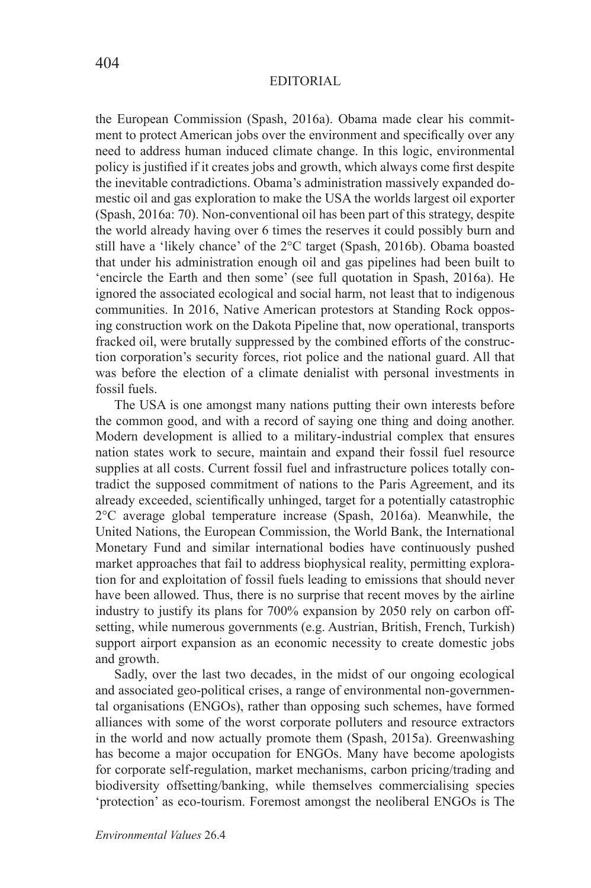the European Commission (Spash, 2016a). Obama made clear his commitment to protect American jobs over the environment and specifically over any need to address human induced climate change. In this logic, environmental policy is justified if it creates jobs and growth, which always come first despite the inevitable contradictions. Obama's administration massively expanded domestic oil and gas exploration to make the USA the worlds largest oil exporter (Spash, 2016a: 70). Non-conventional oil has been part of this strategy, despite the world already having over 6 times the reserves it could possibly burn and still have a 'likely chance' of the 2°C target (Spash, 2016b). Obama boasted that under his administration enough oil and gas pipelines had been built to 'encircle the Earth and then some' (see full quotation in Spash, 2016a). He ignored the associated ecological and social harm, not least that to indigenous communities. In 2016, Native American protestors at Standing Rock opposing construction work on the Dakota Pipeline that, now operational, transports fracked oil, were brutally suppressed by the combined efforts of the construction corporation's security forces, riot police and the national guard. All that was before the election of a climate denialist with personal investments in fossil fuels.

The USA is one amongst many nations putting their own interests before the common good, and with a record of saying one thing and doing another. Modern development is allied to a military-industrial complex that ensures nation states work to secure, maintain and expand their fossil fuel resource supplies at all costs. Current fossil fuel and infrastructure polices totally contradict the supposed commitment of nations to the Paris Agreement, and its already exceeded, scientifically unhinged, target for a potentially catastrophic 2°C average global temperature increase (Spash, 2016a). Meanwhile, the United Nations, the European Commission, the World Bank, the International Monetary Fund and similar international bodies have continuously pushed market approaches that fail to address biophysical reality, permitting exploration for and exploitation of fossil fuels leading to emissions that should never have been allowed. Thus, there is no surprise that recent moves by the airline industry to justify its plans for 700% expansion by 2050 rely on carbon offsetting, while numerous governments (e.g. Austrian, British, French, Turkish) support airport expansion as an economic necessity to create domestic jobs and growth.

Sadly, over the last two decades, in the midst of our ongoing ecological and associated geo-political crises, a range of environmental non-governmental organisations (ENGOs), rather than opposing such schemes, have formed alliances with some of the worst corporate polluters and resource extractors in the world and now actually promote them (Spash, 2015a). Greenwashing has become a major occupation for ENGOs. Many have become apologists for corporate self-regulation, market mechanisms, carbon pricing/trading and biodiversity offsetting/banking, while themselves commercialising species 'protection' as eco-tourism. Foremost amongst the neoliberal ENGOs is The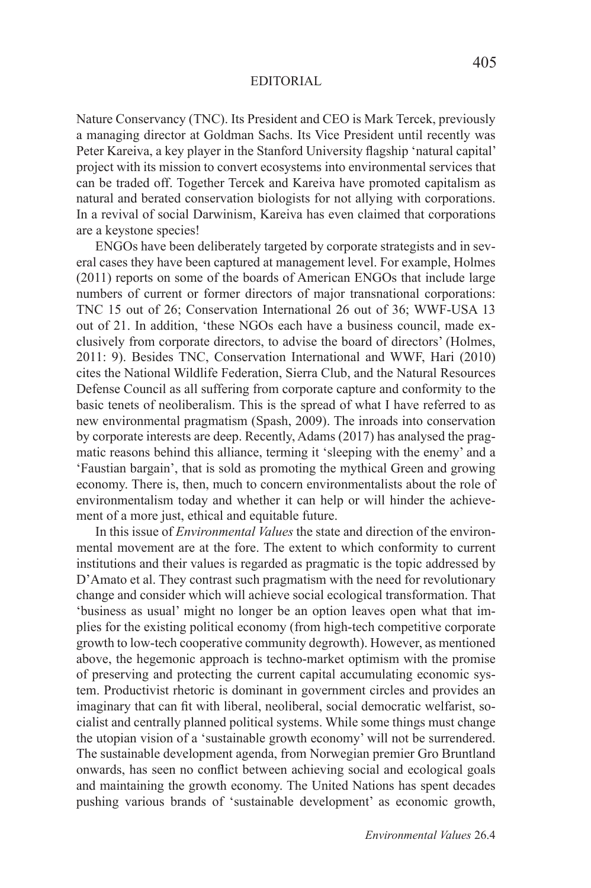Nature Conservancy (TNC). Its President and CEO is Mark Tercek, previously a managing director at Goldman Sachs. Its Vice President until recently was Peter Kareiva, a key player in the Stanford University flagship 'natural capital' project with its mission to convert ecosystems into environmental services that can be traded off. Together Tercek and Kareiva have promoted capitalism as natural and berated conservation biologists for not allying with corporations. In a revival of social Darwinism, Kareiva has even claimed that corporations are a keystone species!

ENGOs have been deliberately targeted by corporate strategists and in several cases they have been captured at management level. For example, Holmes (2011) reports on some of the boards of American ENGOs that include large numbers of current or former directors of major transnational corporations: TNC 15 out of 26; Conservation International 26 out of 36; WWF-USA 13 out of 21. In addition, 'these NGOs each have a business council, made exclusively from corporate directors, to advise the board of directors' (Holmes, 2011: 9). Besides TNC, Conservation International and WWF, Hari (2010) cites the National Wildlife Federation, Sierra Club, and the Natural Resources Defense Council as all suffering from corporate capture and conformity to the basic tenets of neoliberalism. This is the spread of what I have referred to as new environmental pragmatism (Spash, 2009). The inroads into conservation by corporate interests are deep. Recently, Adams (2017) has analysed the pragmatic reasons behind this alliance, terming it 'sleeping with the enemy' and a 'Faustian bargain', that is sold as promoting the mythical Green and growing economy. There is, then, much to concern environmentalists about the role of environmentalism today and whether it can help or will hinder the achievement of a more just, ethical and equitable future.

In this issue of *Environmental Values* the state and direction of the environmental movement are at the fore. The extent to which conformity to current institutions and their values is regarded as pragmatic is the topic addressed by D'Amato et al. They contrast such pragmatism with the need for revolutionary change and consider which will achieve social ecological transformation. That 'business as usual' might no longer be an option leaves open what that implies for the existing political economy (from high-tech competitive corporate growth to low-tech cooperative community degrowth). However, as mentioned above, the hegemonic approach is techno-market optimism with the promise of preserving and protecting the current capital accumulating economic system. Productivist rhetoric is dominant in government circles and provides an imaginary that can fit with liberal, neoliberal, social democratic welfarist, socialist and centrally planned political systems. While some things must change the utopian vision of a 'sustainable growth economy' will not be surrendered. The sustainable development agenda, from Norwegian premier Gro Bruntland onwards, has seen no conflict between achieving social and ecological goals and maintaining the growth economy. The United Nations has spent decades pushing various brands of 'sustainable development' as economic growth,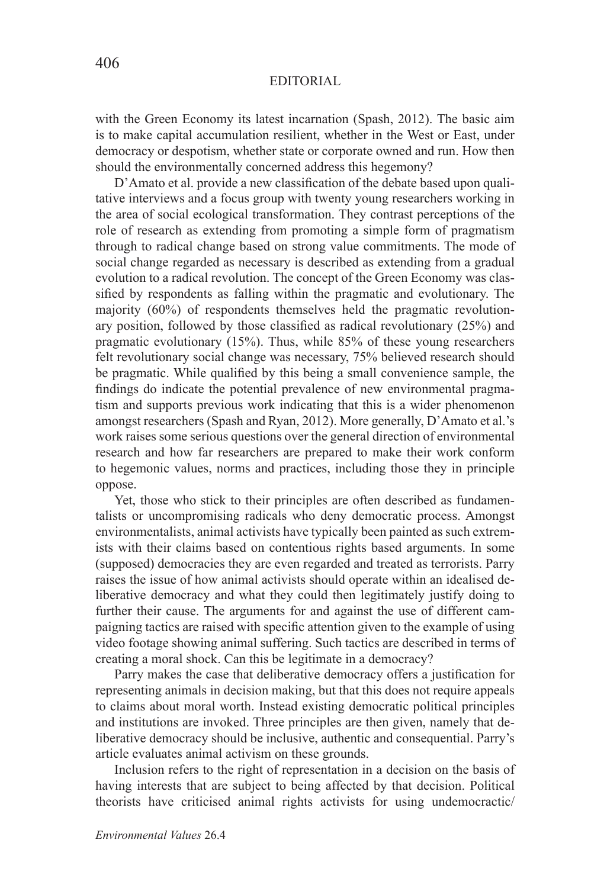with the Green Economy its latest incarnation (Spash, 2012). The basic aim is to make capital accumulation resilient, whether in the West or East, under democracy or despotism, whether state or corporate owned and run. How then should the environmentally concerned address this hegemony?

D'Amato et al. provide a new classification of the debate based upon qualitative interviews and a focus group with twenty young researchers working in the area of social ecological transformation. They contrast perceptions of the role of research as extending from promoting a simple form of pragmatism through to radical change based on strong value commitments. The mode of social change regarded as necessary is described as extending from a gradual evolution to a radical revolution. The concept of the Green Economy was classified by respondents as falling within the pragmatic and evolutionary. The majority (60%) of respondents themselves held the pragmatic revolutionary position, followed by those classified as radical revolutionary (25%) and pragmatic evolutionary (15%). Thus, while 85% of these young researchers felt revolutionary social change was necessary, 75% believed research should be pragmatic. While qualified by this being a small convenience sample, the findings do indicate the potential prevalence of new environmental pragmatism and supports previous work indicating that this is a wider phenomenon amongst researchers (Spash and Ryan, 2012). More generally, D'Amato et al.'s work raises some serious questions over the general direction of environmental research and how far researchers are prepared to make their work conform to hegemonic values, norms and practices, including those they in principle oppose.

Yet, those who stick to their principles are often described as fundamentalists or uncompromising radicals who deny democratic process. Amongst environmentalists, animal activists have typically been painted as such extremists with their claims based on contentious rights based arguments. In some (supposed) democracies they are even regarded and treated as terrorists. Parry raises the issue of how animal activists should operate within an idealised deliberative democracy and what they could then legitimately justify doing to further their cause. The arguments for and against the use of different campaigning tactics are raised with specific attention given to the example of using video footage showing animal suffering. Such tactics are described in terms of creating a moral shock. Can this be legitimate in a democracy?

Parry makes the case that deliberative democracy offers a justification for representing animals in decision making, but that this does not require appeals to claims about moral worth. Instead existing democratic political principles and institutions are invoked. Three principles are then given, namely that deliberative democracy should be inclusive, authentic and consequential. Parry's article evaluates animal activism on these grounds.

Inclusion refers to the right of representation in a decision on the basis of having interests that are subject to being affected by that decision. Political theorists have criticised animal rights activists for using undemocractic/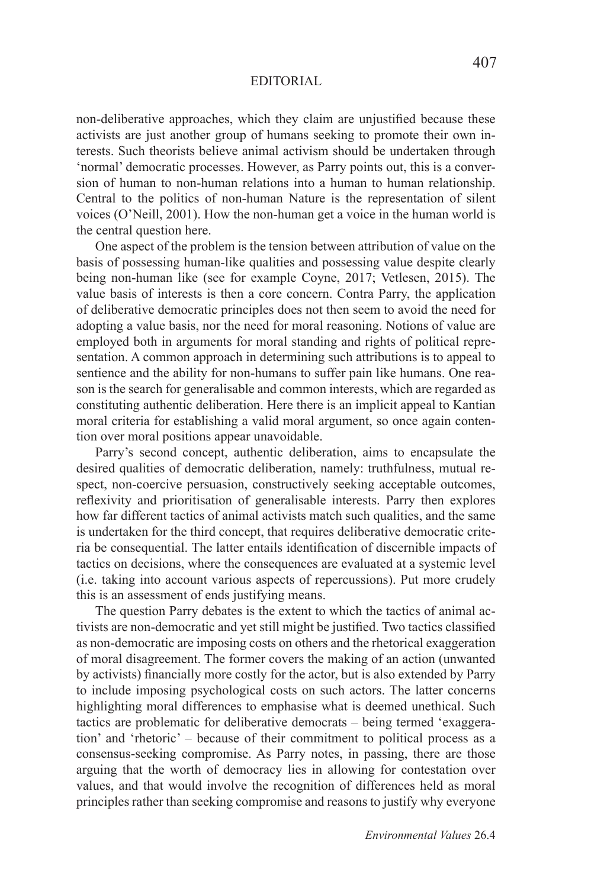non-deliberative approaches, which they claim are unjustified because these activists are just another group of humans seeking to promote their own interests. Such theorists believe animal activism should be undertaken through 'normal' democratic processes. However, as Parry points out, this is a conversion of human to non-human relations into a human to human relationship. Central to the politics of non-human Nature is the representation of silent voices (O'Neill, 2001). How the non-human get a voice in the human world is the central question here.

One aspect of the problem is the tension between attribution of value on the basis of possessing human-like qualities and possessing value despite clearly being non-human like (see for example Coyne, 2017; Vetlesen, 2015). The value basis of interests is then a core concern. Contra Parry, the application of deliberative democratic principles does not then seem to avoid the need for adopting a value basis, nor the need for moral reasoning. Notions of value are employed both in arguments for moral standing and rights of political representation. A common approach in determining such attributions is to appeal to sentience and the ability for non-humans to suffer pain like humans. One reason is the search for generalisable and common interests, which are regarded as constituting authentic deliberation. Here there is an implicit appeal to Kantian moral criteria for establishing a valid moral argument, so once again contention over moral positions appear unavoidable.

Parry's second concept, authentic deliberation, aims to encapsulate the desired qualities of democratic deliberation, namely: truthfulness, mutual respect, non-coercive persuasion, constructively seeking acceptable outcomes, reflexivity and prioritisation of generalisable interests. Parry then explores how far different tactics of animal activists match such qualities, and the same is undertaken for the third concept, that requires deliberative democratic criteria be consequential. The latter entails identification of discernible impacts of tactics on decisions, where the consequences are evaluated at a systemic level (i.e. taking into account various aspects of repercussions). Put more crudely this is an assessment of ends justifying means.

The question Parry debates is the extent to which the tactics of animal activists are non-democratic and yet still might be justified. Two tactics classified as non-democratic are imposing costs on others and the rhetorical exaggeration of moral disagreement. The former covers the making of an action (unwanted by activists) financially more costly for the actor, but is also extended by Parry to include imposing psychological costs on such actors. The latter concerns highlighting moral differences to emphasise what is deemed unethical. Such tactics are problematic for deliberative democrats – being termed 'exaggeration' and 'rhetoric' – because of their commitment to political process as a consensus-seeking compromise. As Parry notes, in passing, there are those arguing that the worth of democracy lies in allowing for contestation over values, and that would involve the recognition of differences held as moral principles rather than seeking compromise and reasons to justify why everyone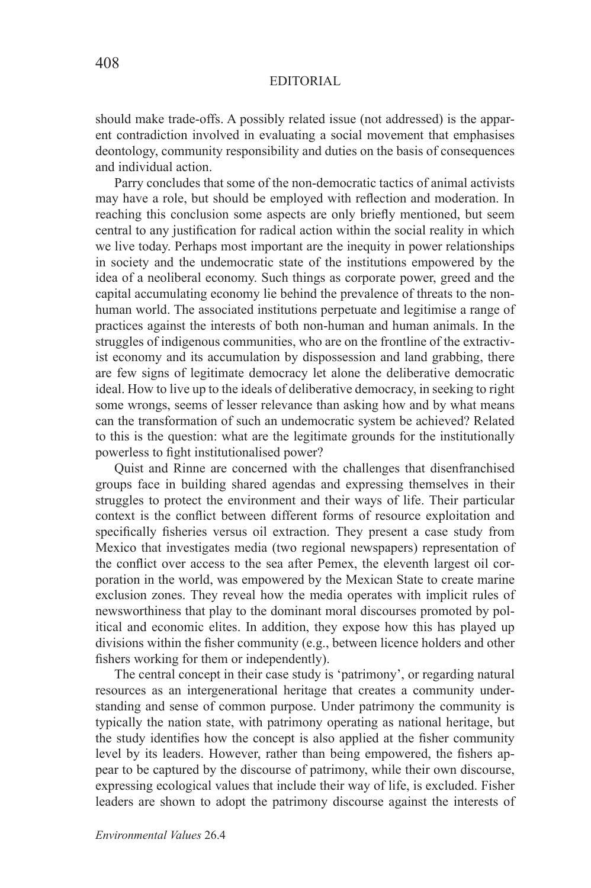should make trade-offs. A possibly related issue (not addressed) is the apparent contradiction involved in evaluating a social movement that emphasises deontology, community responsibility and duties on the basis of consequences and individual action.

Parry concludes that some of the non-democratic tactics of animal activists may have a role, but should be employed with reflection and moderation. In reaching this conclusion some aspects are only briefly mentioned, but seem central to any justification for radical action within the social reality in which we live today. Perhaps most important are the inequity in power relationships in society and the undemocratic state of the institutions empowered by the idea of a neoliberal economy. Such things as corporate power, greed and the capital accumulating economy lie behind the prevalence of threats to the nonhuman world. The associated institutions perpetuate and legitimise a range of practices against the interests of both non-human and human animals. In the struggles of indigenous communities, who are on the frontline of the extractivist economy and its accumulation by dispossession and land grabbing, there are few signs of legitimate democracy let alone the deliberative democratic ideal. How to live up to the ideals of deliberative democracy, in seeking to right some wrongs, seems of lesser relevance than asking how and by what means can the transformation of such an undemocratic system be achieved? Related to this is the question: what are the legitimate grounds for the institutionally powerless to fight institutionalised power?

Quist and Rinne are concerned with the challenges that disenfranchised groups face in building shared agendas and expressing themselves in their struggles to protect the environment and their ways of life. Their particular context is the conflict between different forms of resource exploitation and specifically fisheries versus oil extraction. They present a case study from Mexico that investigates media (two regional newspapers) representation of the conflict over access to the sea after Pemex, the eleventh largest oil corporation in the world, was empowered by the Mexican State to create marine exclusion zones. They reveal how the media operates with implicit rules of newsworthiness that play to the dominant moral discourses promoted by political and economic elites. In addition, they expose how this has played up divisions within the fisher community (e.g., between licence holders and other fishers working for them or independently).

The central concept in their case study is 'patrimony', or regarding natural resources as an intergenerational heritage that creates a community understanding and sense of common purpose. Under patrimony the community is typically the nation state, with patrimony operating as national heritage, but the study identifies how the concept is also applied at the fisher community level by its leaders. However, rather than being empowered, the fishers appear to be captured by the discourse of patrimony, while their own discourse, expressing ecological values that include their way of life, is excluded. Fisher leaders are shown to adopt the patrimony discourse against the interests of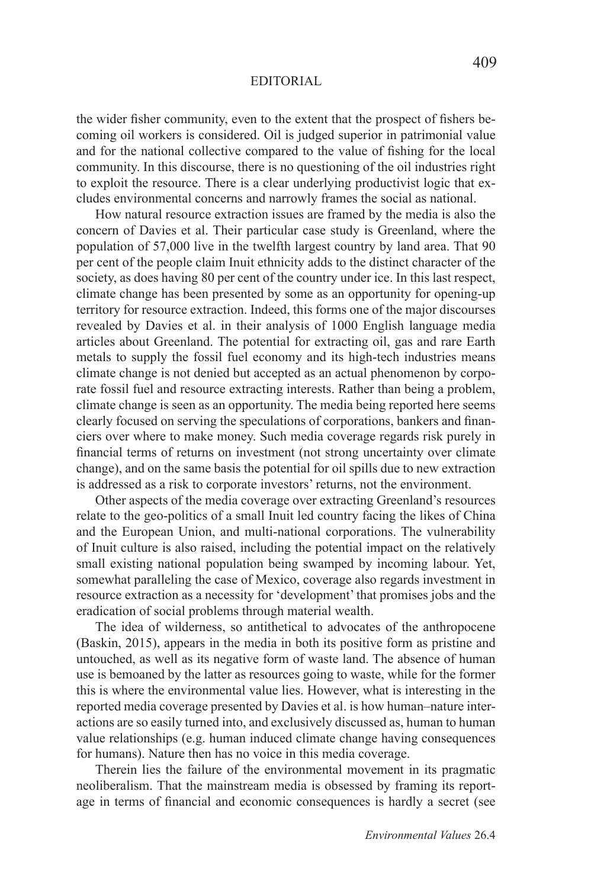the wider fisher community, even to the extent that the prospect of fishers becoming oil workers is considered. Oil is judged superior in patrimonial value and for the national collective compared to the value of fishing for the local community. In this discourse, there is no questioning of the oil industries right to exploit the resource. There is a clear underlying productivist logic that excludes environmental concerns and narrowly frames the social as national.

How natural resource extraction issues are framed by the media is also the concern of Davies et al. Their particular case study is Greenland, where the population of 57,000 live in the twelfth largest country by land area. That 90 per cent of the people claim Inuit ethnicity adds to the distinct character of the society, as does having 80 per cent of the country under ice. In this last respect, climate change has been presented by some as an opportunity for opening-up territory for resource extraction. Indeed, this forms one of the major discourses revealed by Davies et al. in their analysis of 1000 English language media articles about Greenland. The potential for extracting oil, gas and rare Earth metals to supply the fossil fuel economy and its high-tech industries means climate change is not denied but accepted as an actual phenomenon by corporate fossil fuel and resource extracting interests. Rather than being a problem, climate change is seen as an opportunity. The media being reported here seems clearly focused on serving the speculations of corporations, bankers and financiers over where to make money. Such media coverage regards risk purely in financial terms of returns on investment (not strong uncertainty over climate change), and on the same basis the potential for oil spills due to new extraction is addressed as a risk to corporate investors' returns, not the environment.

Other aspects of the media coverage over extracting Greenland's resources relate to the geo-politics of a small Inuit led country facing the likes of China and the European Union, and multi-national corporations. The vulnerability of Inuit culture is also raised, including the potential impact on the relatively small existing national population being swamped by incoming labour. Yet, somewhat paralleling the case of Mexico, coverage also regards investment in resource extraction as a necessity for 'development' that promises jobs and the eradication of social problems through material wealth.

The idea of wilderness, so antithetical to advocates of the anthropocene (Baskin, 2015), appears in the media in both its positive form as pristine and untouched, as well as its negative form of waste land. The absence of human use is bemoaned by the latter as resources going to waste, while for the former this is where the environmental value lies. However, what is interesting in the reported media coverage presented by Davies et al. is how human–nature interactions are so easily turned into, and exclusively discussed as, human to human value relationships (e.g. human induced climate change having consequences for humans). Nature then has no voice in this media coverage.

Therein lies the failure of the environmental movement in its pragmatic neoliberalism. That the mainstream media is obsessed by framing its reportage in terms of financial and economic consequences is hardly a secret (see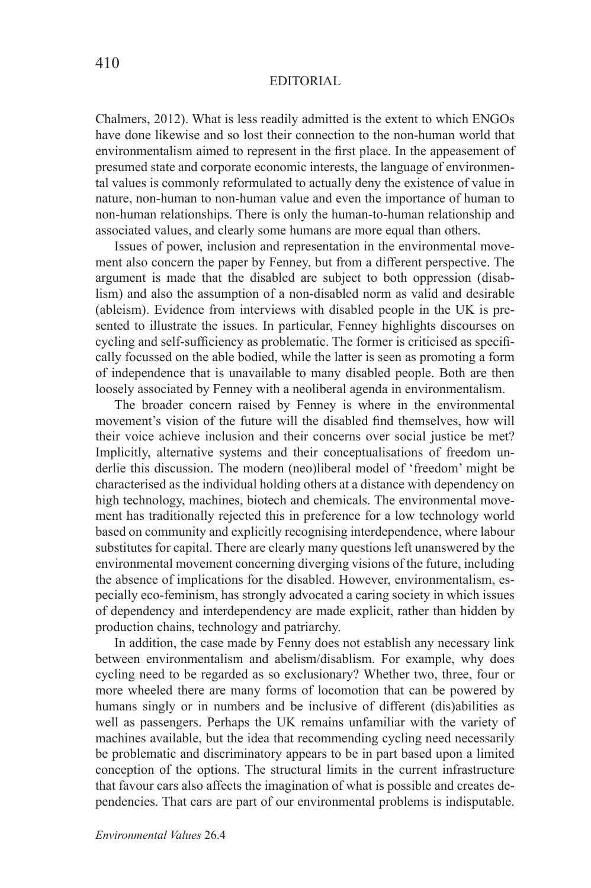Chalmers, 2012). What is less readily admitted is the extent to which ENGOs have done likewise and so lost their connection to the non-human world that environmentalism aimed to represent in the first place. In the appeasement of presumed state and corporate economic interests, the language of environmental values is commonly reformulated to actually deny the existence of value in nature, non-human to non-human value and even the importance of human to non-human relationships. There is only the human-to-human relationship and associated values, and clearly some humans are more equal than others.

Issues of power, inclusion and representation in the environmental movement also concern the paper by Fenney, but from a different perspective. The argument is made that the disabled are subject to both oppression (disablism) and also the assumption of a non-disabled norm as valid and desirable (ableism). Evidence from interviews with disabled people in the UK is presented to illustrate the issues. In particular, Fenney highlights discourses on cycling and self-sufficiency as problematic. The former is criticised as specifically focussed on the able bodied, while the latter is seen as promoting a form of independence that is unavailable to many disabled people. Both are then loosely associated by Fenney with a neoliberal agenda in environmentalism.

The broader concern raised by Fenney is where in the environmental movement's vision of the future will the disabled find themselves, how will their voice achieve inclusion and their concerns over social justice be met? Implicitly, alternative systems and their conceptualisations of freedom underlie this discussion. The modern (neo)liberal model of 'freedom' might be characterised as the individual holding others at a distance with dependency on high technology, machines, biotech and chemicals. The environmental movement has traditionally rejected this in preference for a low technology world based on community and explicitly recognising interdependence, where labour substitutes for capital. There are clearly many questions left unanswered by the environmental movement concerning diverging visions of the future, including the absence of implications for the disabled. However, environmentalism, especially eco-feminism, has strongly advocated a caring society in which issues of dependency and interdependency are made explicit, rather than hidden by production chains, technology and patriarchy.

In addition, the case made by Fenny does not establish any necessary link between environmentalism and abelism/disablism. For example, why does cycling need to be regarded as so exclusionary? Whether two, three, four or more wheeled there are many forms of locomotion that can be powered by humans singly or in numbers and be inclusive of different (dis)abilities as well as passengers. Perhaps the UK remains unfamiliar with the variety of machines available, but the idea that recommending cycling need necessarily be problematic and discriminatory appears to be in part based upon a limited conception of the options. The structural limits in the current infrastructure that favour cars also affects the imagination of what is possible and creates dependencies. That cars are part of our environmental problems is indisputable.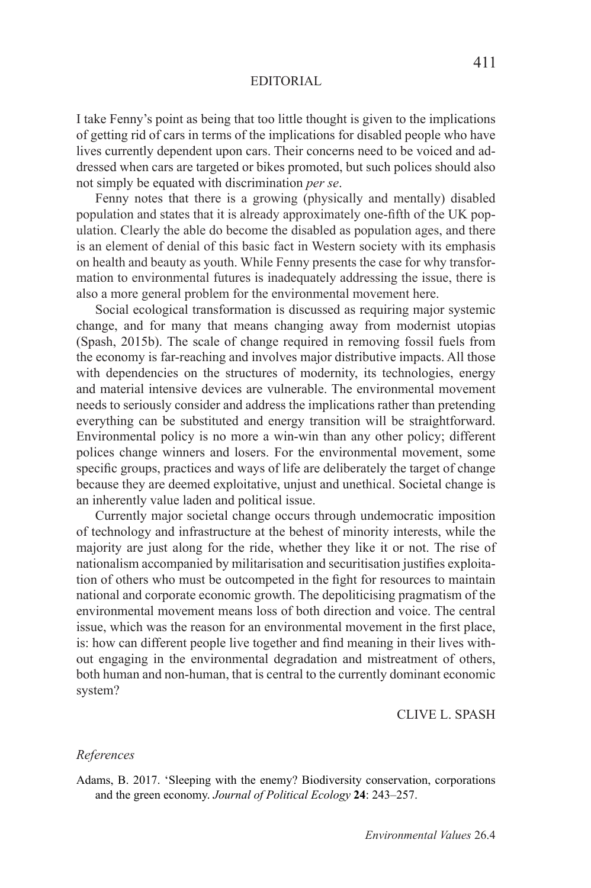I take Fenny's point as being that too little thought is given to the implications of getting rid of cars in terms of the implications for disabled people who have lives currently dependent upon cars. Their concerns need to be voiced and addressed when cars are targeted or bikes promoted, but such polices should also not simply be equated with discrimination *per se*.

Fenny notes that there is a growing (physically and mentally) disabled population and states that it is already approximately one-fifth of the UK population. Clearly the able do become the disabled as population ages, and there is an element of denial of this basic fact in Western society with its emphasis on health and beauty as youth. While Fenny presents the case for why transformation to environmental futures is inadequately addressing the issue, there is also a more general problem for the environmental movement here.

Social ecological transformation is discussed as requiring major systemic change, and for many that means changing away from modernist utopias (Spash, 2015b). The scale of change required in removing fossil fuels from the economy is far-reaching and involves major distributive impacts. All those with dependencies on the structures of modernity, its technologies, energy and material intensive devices are vulnerable. The environmental movement needs to seriously consider and address the implications rather than pretending everything can be substituted and energy transition will be straightforward. Environmental policy is no more a win-win than any other policy; different polices change winners and losers. For the environmental movement, some specific groups, practices and ways of life are deliberately the target of change because they are deemed exploitative, unjust and unethical. Societal change is an inherently value laden and political issue.

Currently major societal change occurs through undemocratic imposition of technology and infrastructure at the behest of minority interests, while the majority are just along for the ride, whether they like it or not. The rise of nationalism accompanied by militarisation and securitisation justifies exploitation of others who must be outcompeted in the fight for resources to maintain national and corporate economic growth. The depoliticising pragmatism of the environmental movement means loss of both direction and voice. The central issue, which was the reason for an environmental movement in the first place, is: how can different people live together and find meaning in their lives without engaging in the environmental degradation and mistreatment of others, both human and non-human, that is central to the currently dominant economic system?

CLIVE L. SPASH

#### *References*

Adams, B. 2017. 'Sleeping with the enemy? Biodiversity conservation, corporations and the green economy. *Journal of Political Ecology* **24**: 243–257.